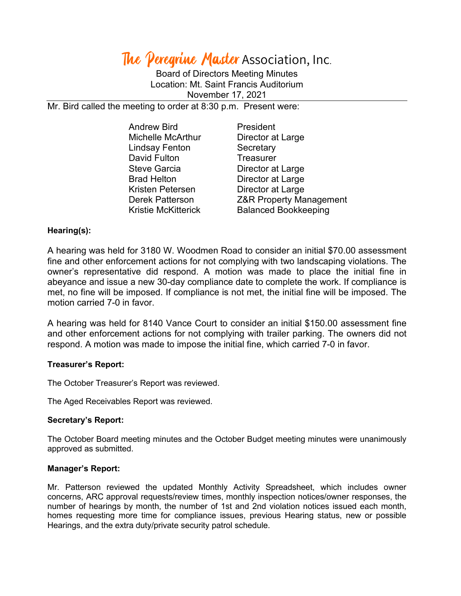# The Peregrine Master Association, Inc.

Board of Directors Meeting Minutes Location: Mt. Saint Francis Auditorium November 17, 2021

Mr. Bird called the meeting to order at 8:30 p.m. Present were:

| <b>Andrew Bird</b>         | President                          |
|----------------------------|------------------------------------|
| <b>Michelle McArthur</b>   | Director at Large                  |
| <b>Lindsay Fenton</b>      | Secretary                          |
| David Fulton               | <b>Treasurer</b>                   |
| <b>Steve Garcia</b>        | Director at Large                  |
| <b>Brad Helton</b>         | Director at Large                  |
| Kristen Petersen           | Director at Large                  |
| <b>Derek Patterson</b>     | <b>Z&amp;R Property Management</b> |
| <b>Kristie McKitterick</b> | <b>Balanced Bookkeeping</b>        |

## **Hearing(s):**

A hearing was held for 3180 W. Woodmen Road to consider an initial \$70.00 assessment fine and other enforcement actions for not complying with two landscaping violations. The owner's representative did respond. A motion was made to place the initial fine in abeyance and issue a new 30-day compliance date to complete the work. If compliance is met, no fine will be imposed. If compliance is not met, the initial fine will be imposed. The motion carried 7-0 in favor.

A hearing was held for 8140 Vance Court to consider an initial \$150.00 assessment fine and other enforcement actions for not complying with trailer parking. The owners did not respond. A motion was made to impose the initial fine, which carried 7-0 in favor.

#### **Treasurer's Report:**

The October Treasurer's Report was reviewed.

The Aged Receivables Report was reviewed.

## **Secretary's Report:**

The October Board meeting minutes and the October Budget meeting minutes were unanimously approved as submitted.

#### **Manager's Report:**

Mr. Patterson reviewed the updated Monthly Activity Spreadsheet, which includes owner concerns, ARC approval requests/review times, monthly inspection notices/owner responses, the number of hearings by month, the number of 1st and 2nd violation notices issued each month, homes requesting more time for compliance issues, previous Hearing status, new or possible Hearings, and the extra duty/private security patrol schedule.